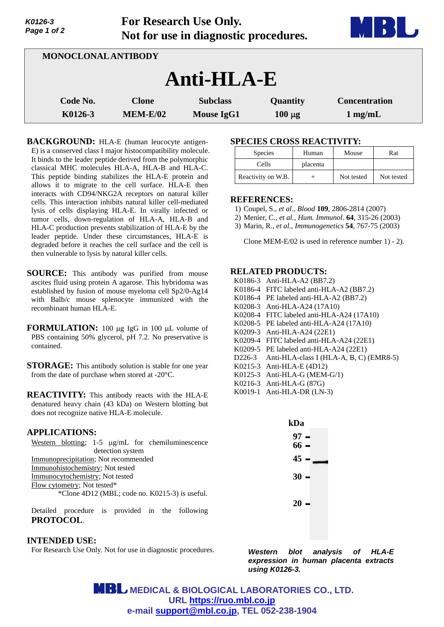| .<br>Page 1 of 2           | Tot Research Ose Omy.<br>Not for use in diagnostic procedures. | <b>AND TO BE</b>                     |                         |                                   |
|----------------------------|----------------------------------------------------------------|--------------------------------------|-------------------------|-----------------------------------|
| <b>MONOCLONAL ANTIBODY</b> |                                                                |                                      |                         |                                   |
|                            |                                                                | Anti-HLA-E                           |                         |                                   |
| Code No.<br>K0126-3        | <b>Clone</b><br><b>MEM-E/02</b>                                | <b>Subclass</b><br><b>Mouse IgG1</b> | Quantity<br>$100 \mu g$ | <b>Concentration</b><br>$1$ mg/mL |

**For Research Use Only.**

**BACKGROUND:** HLA-E (human leucocyte antigen-E) is a conserved class I major histocompatibility molecule. It binds to the leader peptide derived from the polymorphic classical MHC molecules HLA-A, HLA-B and HLA-C. This peptide binding stabilizes the HLA-E protein and allows it to migrate to the cell surface. HLA-E then interacts with CD94/NKG2A receptors on natural killer cells. This interaction inhibits natural killer cell-mediated lysis of cells displaying HLA-E. In virally infected or tumor cells, down-regulation of HLA-A, HLA-B and HLA-C production prevents stabilization of HLA-E by the leader peptide. Under these circumstances, HLA-E is degraded before it reaches the cell surface and the cell is then vulnerable to lysis by natural killer cells.

- **SOURCE:** This antibody was purified from mouse ascites fluid using protein A agarose. This hybridoma was established by fusion of mouse myeloma cell Sp2/0-Ag14 with Balb/c mouse splenocyte immunized with the recombinant human HLA-E.
- **FORMULATION:** 100 µg IgG in 100 µL volume of PBS containing 50% glycerol, pH 7.2. No preservative is contained.
- **STORAGE:** This antibody solution is stable for one year from the date of purchase when stored at -20°C.
- **REACTIVITY:** This antibody reacts with the HLA-E denatured heavy chain (43 kDa) on Western blotting but does not recognize native HLA-E molecule.

### **APPLICATIONS:**

*K0126-3* 

|                                                |  |  |  |  | Western blotting; $1-5 \mu g/mL$ for chemiluminescence |
|------------------------------------------------|--|--|--|--|--------------------------------------------------------|
| detection system                               |  |  |  |  |                                                        |
| Immunoprecipitation; Not recommended           |  |  |  |  |                                                        |
| Immunohistochemistry; Not tested               |  |  |  |  |                                                        |
| Immunocytochemistry; Not tested                |  |  |  |  |                                                        |
| Flow cytometry; Not tested*                    |  |  |  |  |                                                        |
| *Clone 4D12 (MBL; code no. K0215-3) is useful. |  |  |  |  |                                                        |

Detailed procedure is provided in the following **PROTOCOL**.

### **INTENDED USE:**

For Research Use Only. Not for use in diagnostic procedures.

### **SPECIES CROSS REACTIVITY:**

| <b>Species</b>     | Human    | Mouse      | Rat        |
|--------------------|----------|------------|------------|
| Cells              | placenta |            |            |
| Reactivity on W.B. |          | Not tested | Not tested |

**THE REAL PROPERTY** 

### **REFERENCES:**

- 1) Coupel, S., *et al*., *Blood* **109**, 2806-2814 (2007)
- 2) Menier, C., *et al., Hum. Immunol*. **64**, 315-26 (2003)
- 3) Marin, R., *et al., Immunogenetics* **54**, 767-75 (2003)

Clone MEM-E/02 is used in reference number 1) - 2).

#### **RELATED PRODUCTS:**

- K0186-3 Anti-HLA-A2 (BB7.2)
- K0186-4 FITC labeled anti-HLA-A2 (BB7.2)
- K0186-4 PE labeled anti-HLA-A2 (BB7.2)
- K0208-3 Anti-HLA-A24 (17A10)
- K0208-4 FITC labeled anti-HLA-A24 (17A10)
- K0208-5 PE labeled anti-HLA-A24 (17A10)
- K0209-3 Anti-HLA-A24 (22E1)
- K0209-4 FITC labeled anti-HLA-A24 (22E1)
- K0209-5 PE labeled anti-HLA-A24 (22E1)
- D226-3 Anti-HLA-class I (HLA-A, B, C) (EMR8-5)
- K0215-3 Anti-HLA-E (4D12)
- K0125-3 Anti-HLA-G (MEM-G/1)
- K0216-3 Anti-HLA-G (87G)
- K0019-1 Anti-HLA-DR (LN-3)

| kDa            |  |
|----------------|--|
| 97 –<br>$66 -$ |  |
| $45 -$         |  |
| $30 -$         |  |
| $20 -$         |  |

*Western blot analysis of HLA-E expression in human placenta extracts using K0126-3.*

**MBL** MEDICAL & BIOLOGICAL LABORATORIES CO., LTD. **URL https://ruo.mbl.co.jp e-mail support@mbl.co.jp, TEL 052-238-1904**